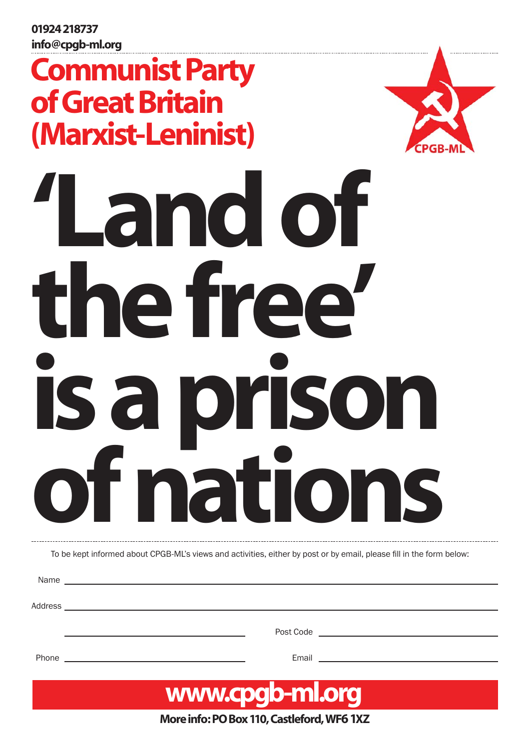01924 218737 info@cpgb-ml.org

# Communist Party of Great Britain (Marxist-Leninist)



is a prison the free' 'Land of of nations

To be kept informed about CPGB-ML's views and activities, either by post or by email, please fill in the form below:

Name

Address

Post Code

Phone Email **Email Email Email Email Email** 



More info: PO Box 110, Castleford, WF6 1XZ